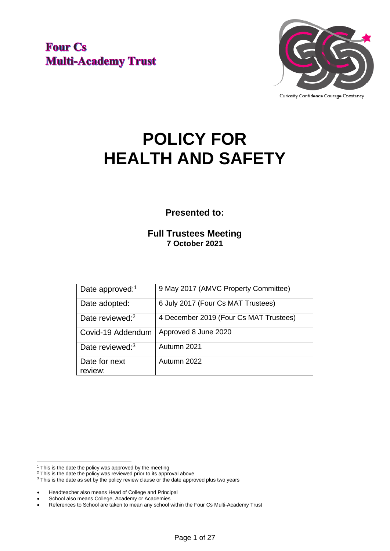**Four Cs Multi-Academy Trust** 



# **POLICY FOR HEALTH AND SAFETY**

**Presented to:**

**Full Trustees Meeting 7 October 2021**

| Date approved: <sup>1</sup> | 9 May 2017 (AMVC Property Committee)   |
|-----------------------------|----------------------------------------|
| Date adopted:               | 6 July 2017 (Four Cs MAT Trustees)     |
| Date reviewed: <sup>2</sup> | 4 December 2019 (Four Cs MAT Trustees) |
| Covid-19 Addendum           | Approved 8 June 2020                   |
| Date reviewed: <sup>3</sup> | Autumn 2021                            |
| Date for next               | Autumn 2022                            |
| review:                     |                                        |

 $1$  This is the date the policy was approved by the meeting

<sup>&</sup>lt;sup>2</sup> This is the date the policy was reviewed prior to its approval above

<sup>&</sup>lt;sup>3</sup> This is the date as set by the policy review clause or the date approved plus two years

<sup>•</sup> Headteacher also means Head of College and Principal

School also means College, Academy or Academies

<sup>•</sup> References to School are taken to mean any school within the Four Cs Multi-Academy Trust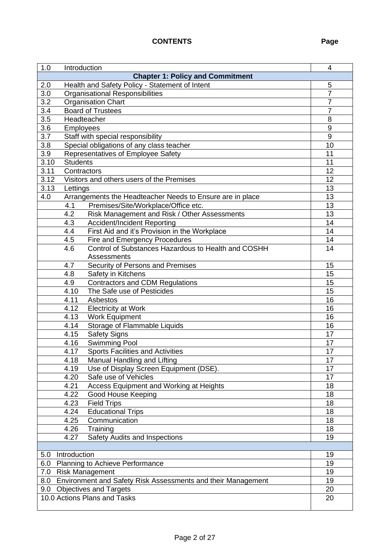### **CONTENTS Page**

| 1.0                                                              | Introduction<br>4                                          |                 |  |  |  |
|------------------------------------------------------------------|------------------------------------------------------------|-----------------|--|--|--|
| <b>Chapter 1: Policy and Commitment</b>                          |                                                            |                 |  |  |  |
| Health and Safety Policy - Statement of Intent<br>2.0            |                                                            |                 |  |  |  |
| 3.0                                                              | <b>Organisational Responsibilities</b>                     |                 |  |  |  |
|                                                                  | 3.2<br><b>Organisation Chart</b>                           |                 |  |  |  |
| 3.4                                                              | <b>Board of Trustees</b>                                   |                 |  |  |  |
| 3.5<br>Headteacher                                               |                                                            |                 |  |  |  |
| 3.6                                                              | Employees                                                  |                 |  |  |  |
| 3.7<br>Staff with special responsibility                         |                                                            |                 |  |  |  |
| 3.8                                                              | Special obligations of any class teacher                   | 10              |  |  |  |
| 3.9                                                              | Representatives of Employee Safety                         | 11              |  |  |  |
| 3.10                                                             | <b>Students</b>                                            | 11              |  |  |  |
| 3.11                                                             | Contractors                                                | 12              |  |  |  |
| $\overline{3.12}$                                                | Visitors and others users of the Premises                  | 12              |  |  |  |
| 3.13                                                             | Lettings                                                   | 13              |  |  |  |
| 4.0                                                              | Arrangements the Headteacher Needs to Ensure are in place  | 13              |  |  |  |
|                                                                  | Premises/Site/Workplace/Office etc.<br>4.1                 | 13              |  |  |  |
|                                                                  | 4.2<br>Risk Management and Risk / Other Assessments        | 13              |  |  |  |
|                                                                  | <b>Accident/Incident Reporting</b><br>4.3                  | 14              |  |  |  |
|                                                                  | First Aid and it's Provision in the Workplace<br>4.4       | 14              |  |  |  |
|                                                                  | 4.5<br>Fire and Emergency Procedures                       | 14              |  |  |  |
|                                                                  | Control of Substances Hazardous to Health and COSHH<br>4.6 | 14              |  |  |  |
|                                                                  | Assessments                                                |                 |  |  |  |
|                                                                  | Security of Persons and Premises<br>4.7                    | 15              |  |  |  |
|                                                                  | 4.8<br>Safety in Kitchens                                  | 15              |  |  |  |
|                                                                  | 4.9<br><b>Contractors and CDM Regulations</b>              | $\overline{15}$ |  |  |  |
|                                                                  | The Safe use of Pesticides<br>4.10                         | 15              |  |  |  |
|                                                                  | 4.11<br>Asbestos                                           | 16              |  |  |  |
|                                                                  | <b>Electricity at Work</b><br>4.12                         | 16              |  |  |  |
|                                                                  | Work Equipment<br>4.13                                     | 16              |  |  |  |
|                                                                  | 4.14<br>Storage of Flammable Liquids                       | 16              |  |  |  |
|                                                                  | Safety Signs<br>4.15                                       | 17              |  |  |  |
|                                                                  | <b>Swimming Pool</b><br>4.16                               | 17              |  |  |  |
|                                                                  | <b>Sports Facilities and Activities</b><br>4.17            | 17              |  |  |  |
|                                                                  | 4.18<br>Manual Handling and Lifting                        | 17              |  |  |  |
|                                                                  | 4.19<br>Use of Display Screen Equipment (DSE).             | 17              |  |  |  |
|                                                                  | Safe use of Vehicles<br>4.20                               | 17              |  |  |  |
|                                                                  | Access Equipment and Working at Heights<br>4.21            | 18              |  |  |  |
|                                                                  | Good House Keeping<br>4.22                                 | 18              |  |  |  |
|                                                                  | 4.23<br><b>Field Trips</b>                                 | 18              |  |  |  |
|                                                                  | <b>Educational Trips</b><br>4.24                           | 18              |  |  |  |
|                                                                  | 4.25<br>Communication                                      | 18              |  |  |  |
|                                                                  | 4.26<br>Training                                           | 18              |  |  |  |
|                                                                  | Safety Audits and Inspections<br>4.27                      | 19              |  |  |  |
|                                                                  |                                                            | 19              |  |  |  |
| Introduction<br>5.0                                              |                                                            |                 |  |  |  |
| 6.0 Planning to Achieve Performance                              |                                                            |                 |  |  |  |
| 7.0 Risk Management                                              |                                                            |                 |  |  |  |
| 8.0 Environment and Safety Risk Assessments and their Management |                                                            |                 |  |  |  |
| 9.0 Objectives and Targets                                       |                                                            | 20              |  |  |  |
| 10.0 Actions Plans and Tasks                                     |                                                            | 20              |  |  |  |
|                                                                  |                                                            |                 |  |  |  |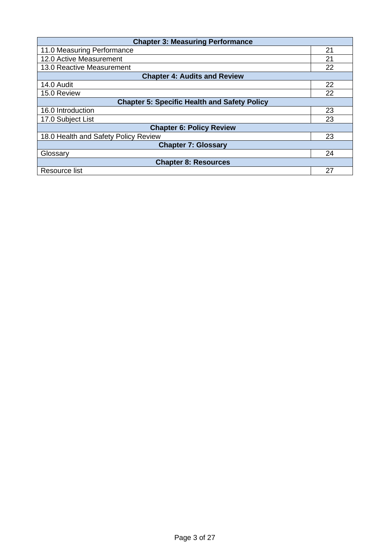| <b>Chapter 3: Measuring Performance</b>             |    |  |  |
|-----------------------------------------------------|----|--|--|
| 11.0 Measuring Performance                          | 21 |  |  |
| 12.0 Active Measurement                             |    |  |  |
| 13.0 Reactive Measurement                           |    |  |  |
| <b>Chapter 4: Audits and Review</b>                 |    |  |  |
| 14.0 Audit                                          | 22 |  |  |
| 15.0 Review                                         | 22 |  |  |
| <b>Chapter 5: Specific Health and Safety Policy</b> |    |  |  |
| 16.0 Introduction                                   | 23 |  |  |
| 17.0 Subject List                                   |    |  |  |
| <b>Chapter 6: Policy Review</b>                     |    |  |  |
| 18.0 Health and Safety Policy Review                | 23 |  |  |
| <b>Chapter 7: Glossary</b>                          |    |  |  |
| Glossary                                            | 24 |  |  |
| <b>Chapter 8: Resources</b>                         |    |  |  |
| Resource list                                       | 27 |  |  |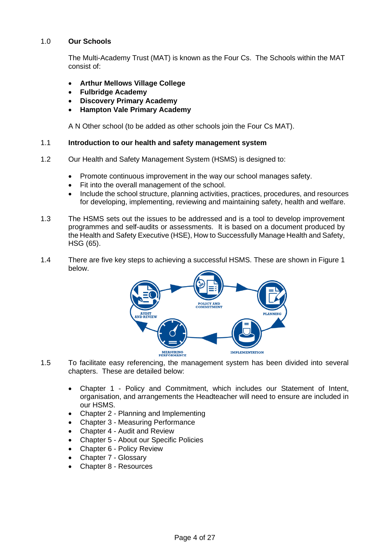#### 1.0 **Our Schools**

The Multi-Academy Trust (MAT) is known as the Four Cs. The Schools within the MAT consist of:

- **Arthur Mellows Village College**
- **Fulbridge Academy**
- **Discovery Primary Academy**
- **Hampton Vale Primary Academy**

A N Other school (to be added as other schools join the Four Cs MAT).

#### 1.1 **Introduction to our health and safety management system**

- 1.2 Our Health and Safety Management System (HSMS) is designed to:
	- Promote continuous improvement in the way our school manages safety.
	- Fit into the overall management of the school.
	- Include the school structure, planning activities, practices, procedures, and resources for developing, implementing, reviewing and maintaining safety, health and welfare.
- 1.3 The HSMS sets out the issues to be addressed and is a tool to develop improvement programmes and self-audits or assessments. It is based on a document produced by the Health and Safety Executive (HSE), How to Successfully Manage Health and Safety, HSG (65).
- 1.4 There are five key steps to achieving a successful HSMS. These are shown in Figure 1 below.



- 1.5 To facilitate easy referencing, the management system has been divided into several chapters. These are detailed below:
	- Chapter 1 Policy and Commitment, which includes our Statement of Intent, organisation, and arrangements the Headteacher will need to ensure are included in our HSMS.
	- Chapter 2 Planning and Implementing
	- Chapter 3 Measuring Performance
	- Chapter 4 Audit and Review
	- Chapter 5 About our Specific Policies
	- Chapter 6 Policy Review
	- Chapter 7 Glossary
	- Chapter 8 Resources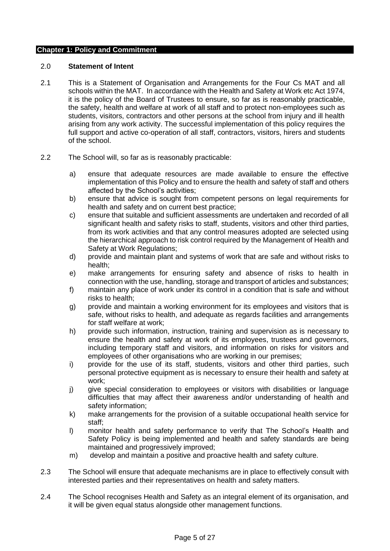#### **Chapter 1: Policy and Commitment**

#### 2.0 **Statement of Intent**

- 2.1 This is a Statement of Organisation and Arrangements for the Four Cs MAT and all schools within the MAT. In accordance with the Health and Safety at Work etc Act 1974, it is the policy of the Board of Trustees to ensure, so far as is reasonably practicable, the safety, health and welfare at work of all staff and to protect non-employees such as students, visitors, contractors and other persons at the school from injury and ill health arising from any work activity. The successful implementation of this policy requires the full support and active co-operation of all staff, contractors, visitors, hirers and students of the school.
- 2.2 The School will, so far as is reasonably practicable:
	- a) ensure that adequate resources are made available to ensure the effective implementation of this Policy and to ensure the health and safety of staff and others affected by the School's activities;
	- b) ensure that advice is sought from competent persons on legal requirements for health and safety and on current best practice;
	- c) ensure that suitable and sufficient assessments are undertaken and recorded of all significant health and safety risks to staff, students, visitors and other third parties, from its work activities and that any control measures adopted are selected using the hierarchical approach to risk control required by the Management of Health and Safety at Work Regulations;
	- d) provide and maintain plant and systems of work that are safe and without risks to health;
	- e) make arrangements for ensuring safety and absence of risks to health in connection with the use, handling, storage and transport of articles and substances;
	- f) maintain any place of work under its control in a condition that is safe and without risks to health;
	- g) provide and maintain a working environment for its employees and visitors that is safe, without risks to health, and adequate as regards facilities and arrangements for staff welfare at work;
	- h) provide such information, instruction, training and supervision as is necessary to ensure the health and safety at work of its employees, trustees and governors, including temporary staff and visitors, and information on risks for visitors and employees of other organisations who are working in our premises;
	- i) provide for the use of its staff, students, visitors and other third parties, such personal protective equipment as is necessary to ensure their health and safety at work;
	- j) give special consideration to employees or visitors with disabilities or language difficulties that may affect their awareness and/or understanding of health and safety information;
	- k) make arrangements for the provision of a suitable occupational health service for staff;
	- l) monitor health and safety performance to verify that The School's Health and Safety Policy is being implemented and health and safety standards are being maintained and progressively improved;
	- m) develop and maintain a positive and proactive health and safety culture.
- 2.3 The School will ensure that adequate mechanisms are in place to effectively consult with interested parties and their representatives on health and safety matters.
- 2.4 The School recognises Health and Safety as an integral element of its organisation, and it will be given equal status alongside other management functions.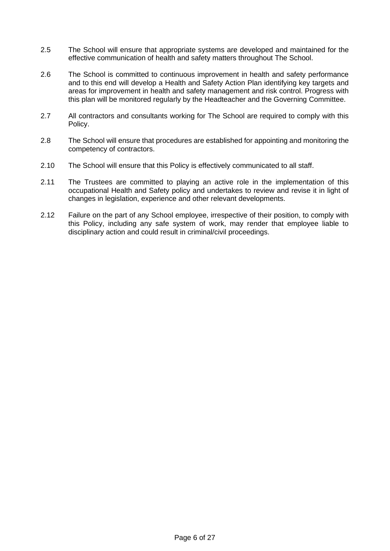- 2.5 The School will ensure that appropriate systems are developed and maintained for the effective communication of health and safety matters throughout The School.
- 2.6 The School is committed to continuous improvement in health and safety performance and to this end will develop a Health and Safety Action Plan identifying key targets and areas for improvement in health and safety management and risk control. Progress with this plan will be monitored regularly by the Headteacher and the Governing Committee.
- 2.7 All contractors and consultants working for The School are required to comply with this Policy.
- 2.8 The School will ensure that procedures are established for appointing and monitoring the competency of contractors.
- 2.10 The School will ensure that this Policy is effectively communicated to all staff.
- 2.11 The Trustees are committed to playing an active role in the implementation of this occupational Health and Safety policy and undertakes to review and revise it in light of changes in legislation, experience and other relevant developments.
- 2.12 Failure on the part of any School employee, irrespective of their position, to comply with this Policy, including any safe system of work, may render that employee liable to disciplinary action and could result in criminal/civil proceedings.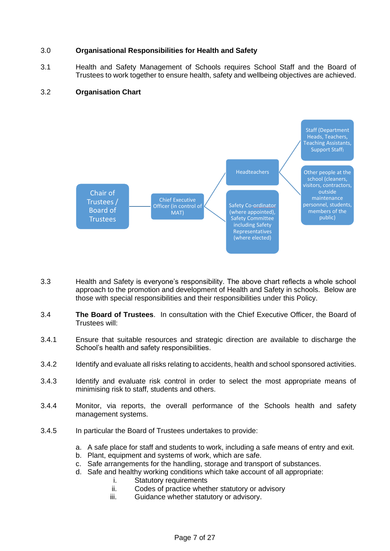#### 3.0 **Organisational Responsibilities for Health and Safety**

3.1 Health and Safety Management of Schools requires School Staff and the Board of Trustees to work together to ensure health, safety and wellbeing objectives are achieved.

#### 3.2 **Organisation Chart**



- 3.3 Health and Safety is everyone's responsibility. The above chart reflects a whole school approach to the promotion and development of Health and Safety in schools. Below are those with special responsibilities and their responsibilities under this Policy.
- 3.4 **The Board of Trustees**.In consultation with the Chief Executive Officer, the Board of Trustees will:
- 3.4.1 Ensure that suitable resources and strategic direction are available to discharge the School's health and safety responsibilities.
- 3.4.2 Identify and evaluate all risks relating to accidents, health and school sponsored activities.
- 3.4.3 Identify and evaluate risk control in order to select the most appropriate means of minimising risk to staff, students and others.
- 3.4.4 Monitor, via reports, the overall performance of the Schools health and safety management systems.
- 3.4.5 In particular the Board of Trustees undertakes to provide:
	- a. A safe place for staff and students to work, including a safe means of entry and exit.
	- b. Plant, equipment and systems of work, which are safe.
	- c. Safe arrangements for the handling, storage and transport of substances.
	- d. Safe and healthy working conditions which take account of all appropriate:
		- i. Statutory requirements
		- ii. Codes of practice whether statutory or advisory
		- iii. Guidance whether statutory or advisory.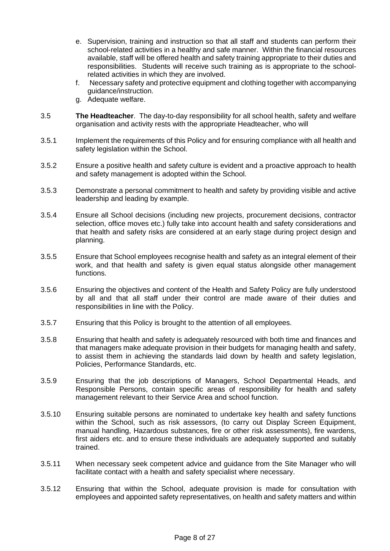- e. Supervision, training and instruction so that all staff and students can perform their school-related activities in a healthy and safe manner. Within the financial resources available, staff will be offered health and safety training appropriate to their duties and responsibilities. Students will receive such training as is appropriate to the schoolrelated activities in which they are involved.
- f. Necessary safety and protective equipment and clothing together with accompanying guidance/instruction.
- g. Adequate welfare.
- 3.5 **The Headteacher**. The day-to-day responsibility for all school health, safety and welfare organisation and activity rests with the appropriate Headteacher, who will
- 3.5.1 Implement the requirements of this Policy and for ensuring compliance with all health and safety legislation within the School.
- 3.5.2 Ensure a positive health and safety culture is evident and a proactive approach to health and safety management is adopted within the School.
- 3.5.3 Demonstrate a personal commitment to health and safety by providing visible and active leadership and leading by example.
- 3.5.4 Ensure all School decisions (including new projects, procurement decisions, contractor selection, office moves etc.) fully take into account health and safety considerations and that health and safety risks are considered at an early stage during project design and planning.
- 3.5.5 Ensure that School employees recognise health and safety as an integral element of their work, and that health and safety is given equal status alongside other management functions.
- 3.5.6 Ensuring the objectives and content of the Health and Safety Policy are fully understood by all and that all staff under their control are made aware of their duties and responsibilities in line with the Policy.
- 3.5.7 Ensuring that this Policy is brought to the attention of all employees.
- 3.5.8 Ensuring that health and safety is adequately resourced with both time and finances and that managers make adequate provision in their budgets for managing health and safety, to assist them in achieving the standards laid down by health and safety legislation, Policies, Performance Standards, etc.
- 3.5.9 Ensuring that the job descriptions of Managers, School Departmental Heads, and Responsible Persons, contain specific areas of responsibility for health and safety management relevant to their Service Area and school function.
- 3.5.10 Ensuring suitable persons are nominated to undertake key health and safety functions within the School, such as risk assessors, (to carry out Display Screen Equipment, manual handling, Hazardous substances, fire or other risk assessments), fire wardens, first aiders etc. and to ensure these individuals are adequately supported and suitably trained.
- 3.5.11 When necessary seek competent advice and guidance from the Site Manager who will facilitate contact with a health and safety specialist where necessary.
- 3.5.12 Ensuring that within the School, adequate provision is made for consultation with employees and appointed safety representatives, on health and safety matters and within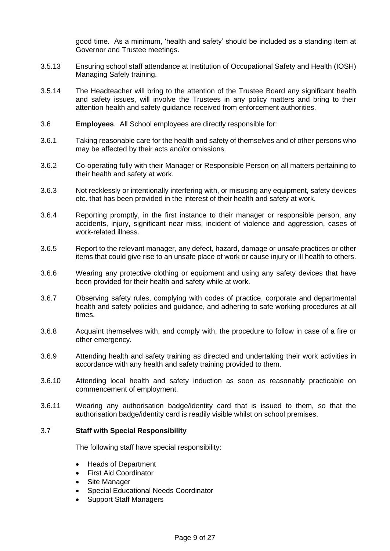good time. As a minimum, 'health and safety' should be included as a standing item at Governor and Trustee meetings.

- 3.5.13 Ensuring school staff attendance at Institution of Occupational Safety and Health (IOSH) Managing Safely training.
- 3.5.14 The Headteacher will bring to the attention of the Trustee Board any significant health and safety issues, will involve the Trustees in any policy matters and bring to their attention health and safety guidance received from enforcement authorities.
- 3.6 **Employees**. All School employees are directly responsible for:
- 3.6.1 Taking reasonable care for the health and safety of themselves and of other persons who may be affected by their acts and/or omissions.
- 3.6.2 Co-operating fully with their Manager or Responsible Person on all matters pertaining to their health and safety at work.
- 3.6.3 Not recklessly or intentionally interfering with, or misusing any equipment, safety devices etc. that has been provided in the interest of their health and safety at work.
- 3.6.4 Reporting promptly, in the first instance to their manager or responsible person, any accidents, injury, significant near miss, incident of violence and aggression, cases of work-related illness.
- 3.6.5 Report to the relevant manager, any defect, hazard, damage or unsafe practices or other items that could give rise to an unsafe place of work or cause injury or ill health to others.
- 3.6.6 Wearing any protective clothing or equipment and using any safety devices that have been provided for their health and safety while at work.
- 3.6.7 Observing safety rules, complying with codes of practice, corporate and departmental health and safety policies and guidance, and adhering to safe working procedures at all times.
- 3.6.8 Acquaint themselves with, and comply with, the procedure to follow in case of a fire or other emergency.
- 3.6.9 Attending health and safety training as directed and undertaking their work activities in accordance with any health and safety training provided to them.
- 3.6.10 Attending local health and safety induction as soon as reasonably practicable on commencement of employment.
- 3.6.11 Wearing any authorisation badge/identity card that is issued to them, so that the authorisation badge/identity card is readily visible whilst on school premises.

#### 3.7 **Staff with Special Responsibility**

The following staff have special responsibility:

- Heads of Department
- First Aid Coordinator
- Site Manager
- Special Educational Needs Coordinator
- Support Staff Managers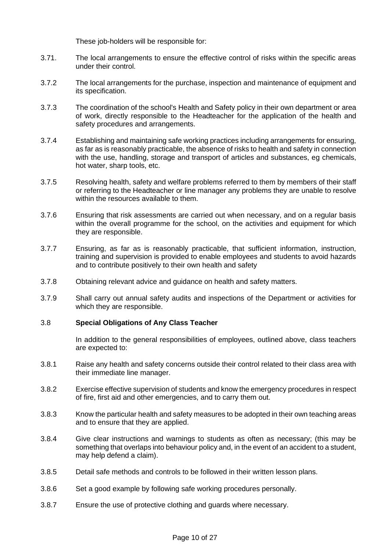These job-holders will be responsible for:

- 3.71. The local arrangements to ensure the effective control of risks within the specific areas under their control.
- 3.7.2 The local arrangements for the purchase, inspection and maintenance of equipment and its specification.
- 3.7.3 The coordination of the school's Health and Safety policy in their own department or area of work, directly responsible to the Headteacher for the application of the health and safety procedures and arrangements.
- 3.7.4 Establishing and maintaining safe working practices including arrangements for ensuring, as far as is reasonably practicable, the absence of risks to health and safety in connection with the use, handling, storage and transport of articles and substances, eg chemicals, hot water, sharp tools, etc.
- 3.7.5 Resolving health, safety and welfare problems referred to them by members of their staff or referring to the Headteacher or line manager any problems they are unable to resolve within the resources available to them.
- 3.7.6 Ensuring that risk assessments are carried out when necessary, and on a regular basis within the overall programme for the school, on the activities and equipment for which they are responsible.
- 3.7.7 Ensuring, as far as is reasonably practicable, that sufficient information, instruction, training and supervision is provided to enable employees and students to avoid hazards and to contribute positively to their own health and safety
- 3.7.8 Obtaining relevant advice and guidance on health and safety matters.
- 3.7.9 Shall carry out annual safety audits and inspections of the Department or activities for which they are responsible.

#### 3.8 **Special Obligations of Any Class Teacher**

In addition to the general responsibilities of employees, outlined above, class teachers are expected to:

- 3.8.1 Raise any health and safety concerns outside their control related to their class area with their immediate line manager.
- 3.8.2 Exercise effective supervision of students and know the emergency procedures in respect of fire, first aid and other emergencies, and to carry them out.
- 3.8.3 Know the particular health and safety measures to be adopted in their own teaching areas and to ensure that they are applied.
- 3.8.4 Give clear instructions and warnings to students as often as necessary; (this may be something that overlaps into behaviour policy and, in the event of an accident to a student, may help defend a claim).
- 3.8.5 Detail safe methods and controls to be followed in their written lesson plans.
- 3.8.6 Set a good example by following safe working procedures personally.
- 3.8.7 Ensure the use of protective clothing and guards where necessary.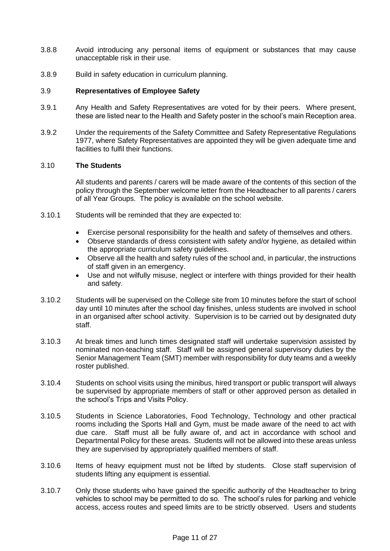- 3.8.8 Avoid introducing any personal items of equipment or substances that may cause unacceptable risk in their use.
- 3.8.9 Build in safety education in curriculum planning.

#### 3.9 **Representatives of Employee Safety**

- 3.9.1 Any Health and Safety Representatives are voted for by their peers. Where present, these are listed near to the Health and Safety poster in the school's main Reception area.
- 3.9.2 Under the requirements of the Safety Committee and Safety Representative Regulations 1977, where Safety Representatives are appointed they will be given adequate time and facilities to fulfil their functions.

#### 3.10 **The Students**

All students and parents / carers will be made aware of the contents of this section of the policy through the September welcome letter from the Headteacher to all parents / carers of all Year Groups. The policy is available on the school website.

- 3.10.1 Students will be reminded that they are expected to:
	- Exercise personal responsibility for the health and safety of themselves and others.
	- Observe standards of dress consistent with safety and/or hygiene, as detailed within the appropriate curriculum safety guidelines.
	- Observe all the health and safety rules of the school and, in particular, the instructions of staff given in an emergency.
	- Use and not wilfully misuse, neglect or interfere with things provided for their health and safety.
- 3.10.2 Students will be supervised on the College site from 10 minutes before the start of school day until 10 minutes after the school day finishes, unless students are involved in school in an organised after school activity. Supervision is to be carried out by designated duty staff.
- 3.10.3 At break times and lunch times designated staff will undertake supervision assisted by nominated non-teaching staff. Staff will be assigned general supervisory duties by the Senior Management Team (SMT) member with responsibility for duty teams and a weekly roster published.
- 3.10.4 Students on school visits using the minibus, hired transport or public transport will always be supervised by appropriate members of staff or other approved person as detailed in the school's Trips and Visits Policy.
- 3.10.5 Students in Science Laboratories, Food Technology, Technology and other practical rooms including the Sports Hall and Gym, must be made aware of the need to act with due care. Staff must all be fully aware of, and act in accordance with school and Departmental Policy for these areas. Students will not be allowed into these areas unless they are supervised by appropriately qualified members of staff.
- 3.10.6 Items of heavy equipment must not be lifted by students. Close staff supervision of students lifting any equipment is essential.
- 3.10.7 Only those students who have gained the specific authority of the Headteacher to bring vehicles to school may be permitted to do so. The school's rules for parking and vehicle access, access routes and speed limits are to be strictly observed. Users and students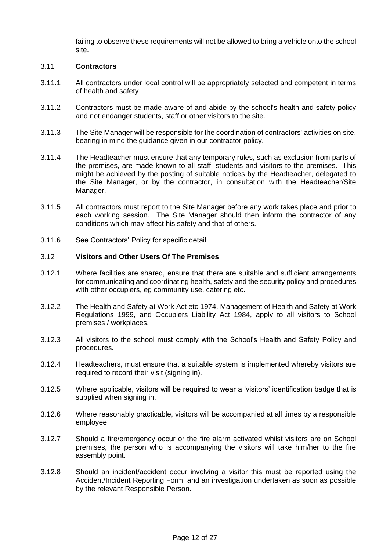failing to observe these requirements will not be allowed to bring a vehicle onto the school site.

#### 3.11 **Contractors**

- 3.11.1 All contractors under local control will be appropriately selected and competent in terms of health and safety
- 3.11.2 Contractors must be made aware of and abide by the school's health and safety policy and not endanger students, staff or other visitors to the site.
- 3.11.3 The Site Manager will be responsible for the coordination of contractors' activities on site, bearing in mind the guidance given in our contractor policy.
- 3.11.4 The Headteacher must ensure that any temporary rules, such as exclusion from parts of the premises, are made known to all staff, students and visitors to the premises. This might be achieved by the posting of suitable notices by the Headteacher, delegated to the Site Manager, or by the contractor, in consultation with the Headteacher/Site Manager.
- 3.11.5 All contractors must report to the Site Manager before any work takes place and prior to each working session. The Site Manager should then inform the contractor of any conditions which may affect his safety and that of others.
- 3.11.6 See Contractors' Policy for specific detail.

#### 3.12 **Visitors and Other Users Of The Premises**

- 3.12.1 Where facilities are shared, ensure that there are suitable and sufficient arrangements for communicating and coordinating health, safety and the security policy and procedures with other occupiers, eg community use, catering etc.
- 3.12.2 The Health and Safety at Work Act etc 1974, Management of Health and Safety at Work Regulations 1999, and Occupiers Liability Act 1984, apply to all visitors to School premises / workplaces.
- 3.12.3 All visitors to the school must comply with the School's Health and Safety Policy and procedures.
- 3.12.4 Headteachers, must ensure that a suitable system is implemented whereby visitors are required to record their visit (signing in).
- 3.12.5 Where applicable, visitors will be required to wear a 'visitors' identification badge that is supplied when signing in.
- 3.12.6 Where reasonably practicable, visitors will be accompanied at all times by a responsible employee.
- 3.12.7 Should a fire/emergency occur or the fire alarm activated whilst visitors are on School premises, the person who is accompanying the visitors will take him/her to the fire assembly point.
- 3.12.8 Should an incident/accident occur involving a visitor this must be reported using the Accident/Incident Reporting Form, and an investigation undertaken as soon as possible by the relevant Responsible Person.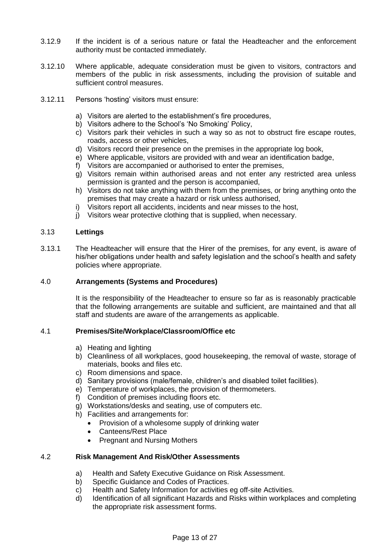- 3.12.9 If the incident is of a serious nature or fatal the Headteacher and the enforcement authority must be contacted immediately.
- 3.12.10 Where applicable, adequate consideration must be given to visitors, contractors and members of the public in risk assessments, including the provision of suitable and sufficient control measures.
- 3.12.11 Persons 'hosting' visitors must ensure:
	- a) Visitors are alerted to the establishment's fire procedures,
	- b) Visitors adhere to the School's 'No Smoking' Policy,
	- c) Visitors park their vehicles in such a way so as not to obstruct fire escape routes, roads, access or other vehicles,
	- d) Visitors record their presence on the premises in the appropriate log book,
	- e) Where applicable, visitors are provided with and wear an identification badge,
	- f) Visitors are accompanied or authorised to enter the premises,
	- g) Visitors remain within authorised areas and not enter any restricted area unless permission is granted and the person is accompanied,
	- h) Visitors do not take anything with them from the premises, or bring anything onto the premises that may create a hazard or risk unless authorised,
	- i) Visitors report all accidents, incidents and near misses to the host,
	- j) Visitors wear protective clothing that is supplied, when necessary.

#### 3.13 **Lettings**

3.13.1 The Headteacher will ensure that the Hirer of the premises, for any event, is aware of his/her obligations under health and safety legislation and the school's health and safety policies where appropriate.

#### 4.0 **Arrangements (Systems and Procedures)**

It is the responsibility of the Headteacher to ensure so far as is reasonably practicable that the following arrangements are suitable and sufficient, are maintained and that all staff and students are aware of the arrangements as applicable.

#### 4.1 **Premises/Site/Workplace/Classroom/Office etc**

- a) Heating and lighting
- b) Cleanliness of all workplaces, good housekeeping, the removal of waste, storage of materials, books and files etc.
- c) Room dimensions and space.
- d) Sanitary provisions (male/female, children's and disabled toilet facilities).
- e) Temperature of workplaces, the provision of thermometers.
- f) Condition of premises including floors etc.
- g) Workstations/desks and seating, use of computers etc.
- h) Facilities and arrangements for:
	- Provision of a wholesome supply of drinking water
	- Canteens/Rest Place
	- Pregnant and Nursing Mothers

#### 4.2 **Risk Management And Risk/Other Assessments**

- a) Health and Safety Executive Guidance on Risk Assessment.
- b) Specific Guidance and Codes of Practices.
- c) Health and Safety Information for activities eg off-site Activities.
- d) Identification of all significant Hazards and Risks within workplaces and completing the appropriate risk assessment forms.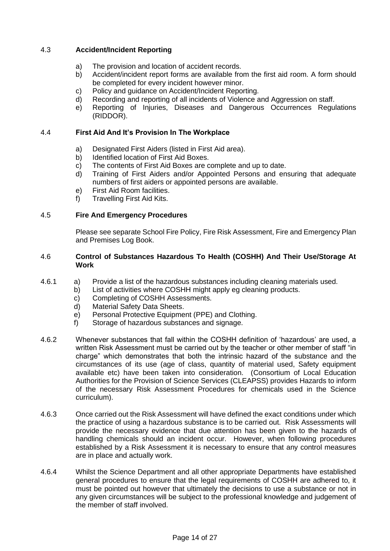#### 4.3 **Accident/Incident Reporting**

- a) The provision and location of accident records.
- b) Accident/incident report forms are available from the first aid room. A form should be completed for every incident however minor.
- c) Policy and guidance on Accident/Incident Reporting.
- d) Recording and reporting of all incidents of Violence and Aggression on staff.
- e) Reporting of Injuries, Diseases and Dangerous Occurrences Regulations (RIDDOR).

#### 4.4 **First Aid And It's Provision In The Workplace**

- a) Designated First Aiders (listed in First Aid area).
- b) Identified location of First Aid Boxes.
- c) The contents of First Aid Boxes are complete and up to date.
- d) Training of First Aiders and/or Appointed Persons and ensuring that adequate numbers of first aiders or appointed persons are available.
- e) First Aid Room facilities.
- f) Travelling First Aid Kits.

#### 4.5 **Fire And Emergency Procedures**

Please see separate School Fire Policy, Fire Risk Assessment, Fire and Emergency Plan and Premises Log Book.

#### 4.6 **Control of Substances Hazardous To Health (COSHH) And Their Use/Storage At Work**

- 4.6.1 a) Provide a list of the hazardous substances including cleaning materials used.
	- b) List of activities where COSHH might apply eg cleaning products.
		- c) Completing of COSHH Assessments.
		- d) Material Safety Data Sheets.
		- e) Personal Protective Equipment (PPE) and Clothing.
		- f) Storage of hazardous substances and signage.
- 4.6.2 Whenever substances that fall within the COSHH definition of 'hazardous' are used, a written Risk Assessment must be carried out by the teacher or other member of staff "in charge" which demonstrates that both the intrinsic hazard of the substance and the circumstances of its use (age of class, quantity of material used, Safety equipment available etc) have been taken into consideration. (Consortium of Local Education Authorities for the Provision of Science Services (CLEAPSS) provides Hazards to inform of the necessary Risk Assessment Procedures for chemicals used in the Science curriculum).
- 4.6.3 Once carried out the Risk Assessment will have defined the exact conditions under which the practice of using a hazardous substance is to be carried out. Risk Assessments will provide the necessary evidence that due attention has been given to the hazards of handling chemicals should an incident occur. However, when following procedures established by a Risk Assessment it is necessary to ensure that any control measures are in place and actually work.
- 4.6.4 Whilst the Science Department and all other appropriate Departments have established general procedures to ensure that the legal requirements of COSHH are adhered to, it must be pointed out however that ultimately the decisions to use a substance or not in any given circumstances will be subject to the professional knowledge and judgement of the member of staff involved.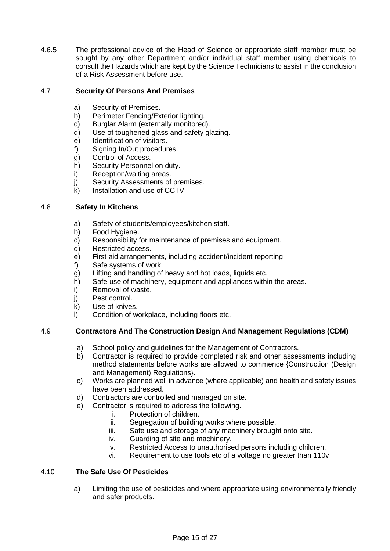4.6.5 The professional advice of the Head of Science or appropriate staff member must be sought by any other Department and/or individual staff member using chemicals to consult the Hazards which are kept by the Science Technicians to assist in the conclusion of a Risk Assessment before use.

#### 4.7 **Security Of Persons And Premises**

- a) Security of Premises.
- b) Perimeter Fencing/Exterior lighting.
- c) Burglar Alarm (externally monitored).
- d) Use of toughened glass and safety glazing.
- e) Identification of visitors.
- f) Signing In/Out procedures.
- g) Control of Access.
- h) Security Personnel on duty.
- i) Reception/waiting areas.
- j) Security Assessments of premises.
- k) Installation and use of CCTV.

#### 4.8 **Safety In Kitchens**

- a) Safety of students/employees/kitchen staff.
- b) Food Hygiene.
- c) Responsibility for maintenance of premises and equipment.
- d) Restricted access.
- e) First aid arrangements, including accident/incident reporting.
- f) Safe systems of work.
- g) Lifting and handling of heavy and hot loads, liquids etc.
- h) Safe use of machinery, equipment and appliances within the areas.
- i) Removal of waste.
- j) Pest control.
- k) Use of knives.
- l) Condition of workplace, including floors etc.

#### 4.9 **Contractors And The Construction Design And Management Regulations (CDM)**

- a) School policy and guidelines for the Management of Contractors.
- b) Contractor is required to provide completed risk and other assessments including method statements before works are allowed to commence {Construction (Design and Management) Regulations}.
- c) Works are planned well in advance (where applicable) and health and safety issues have been addressed.
- d) Contractors are controlled and managed on site.
- e) Contractor is required to address the following.
	- i. Protection of children.
	- ii. Segregation of building works where possible.
	- iii. Safe use and storage of any machinery brought onto site.
	- iv. Guarding of site and machinery.
	- v. Restricted Access to unauthorised persons including children.
	- vi. Requirement to use tools etc of a voltage no greater than 110v

#### 4.10 **The Safe Use Of Pesticides**

a) Limiting the use of pesticides and where appropriate using environmentally friendly and safer products.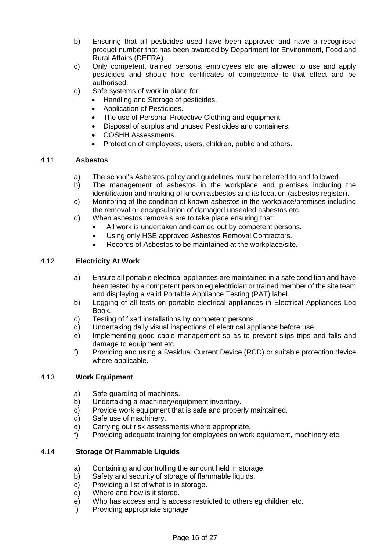- b) Ensuring that all pesticides used have been approved and have a recognised product number that has been awarded by Department for Environment, Food and Rural Affairs (DEFRA).
- c) Only competent, trained persons, employees etc are allowed to use and apply pesticides and should hold certificates of competence to that effect and be authorised.
- d) Safe systems of work in place for;
	- Handling and Storage of pesticides.
		- Application of Pesticides.
		- The use of Personal Protective Clothing and equipment.
		- Disposal of surplus and unused Pesticides and containers.
		- COSHH Assessments.
		- Protection of employees, users, children, public and others.

#### 4.11 **Asbestos**

- a) The school's Asbestos policy and guidelines must be referred to and followed.
- b) The management of asbestos in the workplace and premises including the identification and marking of known asbestos and its location (asbestos register).
- c) Monitoring of the condition of known asbestos in the workplace/premises including the removal or encapsulation of damaged unsealed asbestos etc.
- d) When asbestos removals are to take place ensuring that:
	- All work is undertaken and carried out by competent persons.
		- Using only HSE approved Asbestos Removal Contractors.
		- Records of Asbestos to be maintained at the workplace/site.

#### 4.12 **Electricity At Work**

- a) Ensure all portable electrical appliances are maintained in a safe condition and have been tested by a competent person eg electrician or trained member of the site team and displaying a valid Portable Appliance Testing (PAT) label.
- b) Logging of all tests on portable electrical appliances in Electrical Appliances Log Book.
- c) Testing of fixed installations by competent persons.
- d) Undertaking daily visual inspections of electrical appliance before use.
- e) Implementing good cable management so as to prevent slips trips and falls and damage to equipment etc.
- f) Providing and using a Residual Current Device (RCD) or suitable protection device where applicable.

#### 4.13 **Work Equipment**

- a) Safe guarding of machines.
- b) Undertaking a machinery/equipment inventory.
- c) Provide work equipment that is safe and properly maintained.
- d) Safe use of machinery.
- e) Carrying out risk assessments where appropriate.
- f) Providing adequate training for employees on work equipment, machinery etc.

#### 4.14 **Storage Of Flammable Liquids**

- a) Containing and controlling the amount held in storage.
- b) Safety and security of storage of flammable liquids.
- c) Providing a list of what is in storage.
- d) Where and how is it stored.
- e) Who has access and is access restricted to others eg children etc.
- f) Providing appropriate signage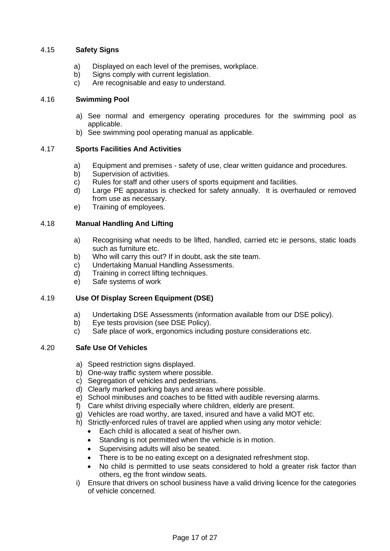#### 4.15 **Safety Signs**

- a) Displayed on each level of the premises, workplace.
- b) Signs comply with current legislation.
- c) Are recognisable and easy to understand.

#### 4.16 **Swimming Pool**

- a) See normal and emergency operating procedures for the swimming pool as applicable.
- b) See swimming pool operating manual as applicable.

#### 4.17 **Sports Facilities And Activities**

- a) Equipment and premises safety of use, clear written guidance and procedures.
- b) Supervision of activities.
- c) Rules for staff and other users of sports equipment and facilities.
- d) Large PE apparatus is checked for safety annually. It is overhauled or removed from use as necessary.
- e) Training of employees.

#### 4.18 **Manual Handling And Lifting**

- a) Recognising what needs to be lifted, handled, carried etc ie persons, static loads such as furniture etc.
- b) Who will carry this out? If in doubt, ask the site team.
- c) Undertaking Manual Handling Assessments.
- d) Training in correct lifting techniques.
- e) Safe systems of work

#### 4.19 **Use Of Display Screen Equipment (DSE)**

- a) Undertaking DSE Assessments (information available from our DSE policy).
- b) Eye tests provision (see DSE Policy).
- c) Safe place of work, ergonomics including posture considerations etc.

#### 4.20 **Safe Use Of Vehicles**

- a) Speed restriction signs displayed.
- b) One-way traffic system where possible.
- c) Segregation of vehicles and pedestrians.
- d) Clearly marked parking bays and areas where possible.
- e) School minibuses and coaches to be fitted with audible reversing alarms.
- f) Care whilst driving especially where children, elderly are present.
- g) Vehicles are road worthy, are taxed, insured and have a valid MOT etc.
- h) Strictly-enforced rules of travel are applied when using any motor vehicle:
	- Each child is allocated a seat of his/her own.
	- Standing is not permitted when the vehicle is in motion.
	- Supervising adults will also be seated.
	- There is to be no eating except on a designated refreshment stop.
	- No child is permitted to use seats considered to hold a greater risk factor than others, eg the front window seats.
- i) Ensure that drivers on school business have a valid driving licence for the categories of vehicle concerned.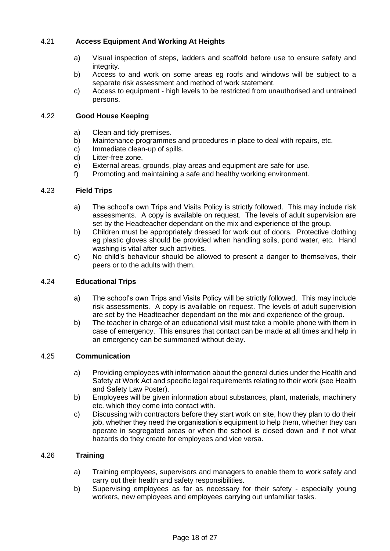#### 4.21 **Access Equipment And Working At Heights**

- a) Visual inspection of steps, ladders and scaffold before use to ensure safety and integrity.
- b) Access to and work on some areas eg roofs and windows will be subject to a separate risk assessment and method of work statement.
- c) Access to equipment high levels to be restricted from unauthorised and untrained persons.

#### 4.22 **Good House Keeping**

- a) Clean and tidy premises.
- b) Maintenance programmes and procedures in place to deal with repairs, etc.
- c) Immediate clean-up of spills.
- d) Litter-free zone.
- e) External areas, grounds, play areas and equipment are safe for use.
- f) Promoting and maintaining a safe and healthy working environment.

#### 4.23 **Field Trips**

- a) The school's own Trips and Visits Policy is strictly followed. This may include risk assessments. A copy is available on request. The levels of adult supervision are set by the Headteacher dependant on the mix and experience of the group.
- b) Children must be appropriately dressed for work out of doors. Protective clothing eg plastic gloves should be provided when handling soils, pond water, etc. Hand washing is vital after such activities.
- c) No child's behaviour should be allowed to present a danger to themselves, their peers or to the adults with them.

#### 4.24 **Educational Trips**

- a) The school's own Trips and Visits Policy will be strictly followed. This may include risk assessments. A copy is available on request. The levels of adult supervision are set by the Headteacher dependant on the mix and experience of the group.
- b) The teacher in charge of an educational visit must take a mobile phone with them in case of emergency. This ensures that contact can be made at all times and help in an emergency can be summoned without delay.

#### 4.25 **Communication**

- a) Providing employees with information about the general duties under the Health and Safety at Work Act and specific legal requirements relating to their work (see Health and Safety Law Poster).
- b) Employees will be given information about substances, plant, materials, machinery etc. which they come into contact with.
- c) Discussing with contractors before they start work on site, how they plan to do their job, whether they need the organisation's equipment to help them, whether they can operate in segregated areas or when the school is closed down and if not what hazards do they create for employees and vice versa.

#### 4.26 **Training**

- a) Training employees, supervisors and managers to enable them to work safely and carry out their health and safety responsibilities.
- b) Supervising employees as far as necessary for their safety especially young workers, new employees and employees carrying out unfamiliar tasks.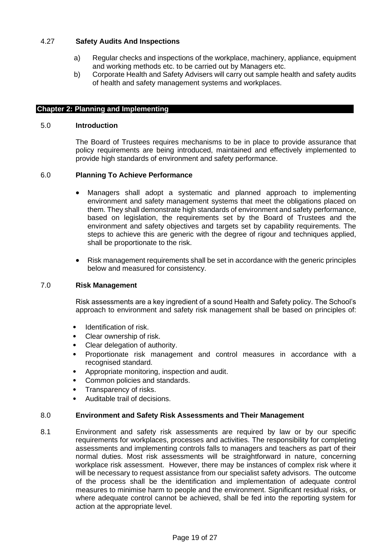#### 4.27 **Safety Audits And Inspections**

- a) Regular checks and inspections of the workplace, machinery, appliance, equipment and working methods etc. to be carried out by Managers etc.
- b) Corporate Health and Safety Advisers will carry out sample health and safety audits of health and safety management systems and workplaces.

#### **Chapter 2: Planning and Implementing**

#### 5.0 **Introduction**

The Board of Trustees requires mechanisms to be in place to provide assurance that policy requirements are being introduced, maintained and effectively implemented to provide high standards of environment and safety performance.

#### 6.0 **Planning To Achieve Performance**

- Managers shall adopt a systematic and planned approach to implementing environment and safety management systems that meet the obligations placed on them. They shall demonstrate high standards of environment and safety performance, based on legislation, the requirements set by the Board of Trustees and the environment and safety objectives and targets set by capability requirements. The steps to achieve this are generic with the degree of rigour and techniques applied, shall be proportionate to the risk.
- Risk management requirements shall be set in accordance with the generic principles below and measured for consistency.

#### 7.0 **Risk Management**

Risk assessments are a key ingredient of a sound Health and Safety policy. The School's approach to environment and safety risk management shall be based on principles of:

- Identification of risk.
- Clear ownership of risk.
- Clear delegation of authority.
- Proportionate risk management and control measures in accordance with a recognised standard.
- Appropriate monitoring, inspection and audit.
- Common policies and standards.
- Transparency of risks.
- Auditable trail of decisions.

#### 8.0 **Environment and Safety Risk Assessments and Their Management**

8.1 Environment and safety risk assessments are required by law or by our specific requirements for workplaces, processes and activities. The responsibility for completing assessments and implementing controls falls to managers and teachers as part of their normal duties. Most risk assessments will be straightforward in nature, concerning workplace risk assessment. However, there may be instances of complex risk where it will be necessary to request assistance from our specialist safety advisors. The outcome of the process shall be the identification and implementation of adequate control measures to minimise harm to people and the environment. Significant residual risks, or where adequate control cannot be achieved, shall be fed into the reporting system for action at the appropriate level.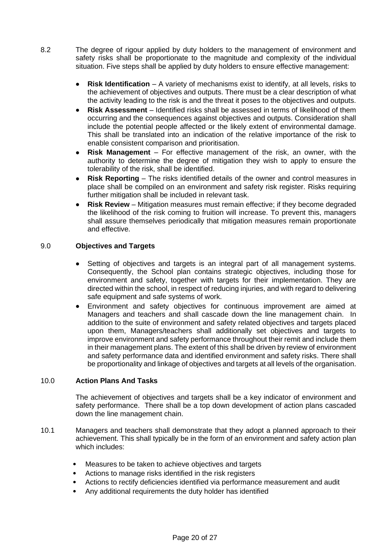- 8.2 The degree of rigour applied by duty holders to the management of environment and safety risks shall be proportionate to the magnitude and complexity of the individual situation. Five steps shall be applied by duty holders to ensure effective management:
	- **Risk Identification** A variety of mechanisms exist to identify, at all levels, risks to the achievement of objectives and outputs. There must be a clear description of what the activity leading to the risk is and the threat it poses to the objectives and outputs.
	- **Risk Assessment** Identified risks shall be assessed in terms of likelihood of them occurring and the consequences against objectives and outputs. Consideration shall include the potential people affected or the likely extent of environmental damage. This shall be translated into an indication of the relative importance of the risk to enable consistent comparison and prioritisation.
	- **Risk Management** For effective management of the risk, an owner, with the authority to determine the degree of mitigation they wish to apply to ensure the tolerability of the risk, shall be identified.
	- **Risk Reporting** The risks identified details of the owner and control measures in place shall be compiled on an environment and safety risk register. Risks requiring further mitigation shall be included in relevant task.
	- **Risk Review** Mitigation measures must remain effective; if they become degraded the likelihood of the risk coming to fruition will increase. To prevent this, managers shall assure themselves periodically that mitigation measures remain proportionate and effective.

#### 9.0 **Objectives and Targets**

- Setting of objectives and targets is an integral part of all management systems. Consequently, the School plan contains strategic objectives, including those for environment and safety, together with targets for their implementation. They are directed within the school, in respect of reducing injuries, and with regard to delivering safe equipment and safe systems of work.
- Environment and safety objectives for continuous improvement are aimed at Managers and teachers and shall cascade down the line management chain. In addition to the suite of environment and safety related objectives and targets placed upon them, Managers/teachers shall additionally set objectives and targets to improve environment and safety performance throughout their remit and include them in their management plans. The extent of this shall be driven by review of environment and safety performance data and identified environment and safety risks. There shall be proportionality and linkage of objectives and targets at all levels of the organisation.

#### 10.0 **Action Plans And Tasks**

The achievement of objectives and targets shall be a key indicator of environment and safety performance. There shall be a top down development of action plans cascaded down the line management chain.

- 10.1 Managers and teachers shall demonstrate that they adopt a planned approach to their achievement. This shall typically be in the form of an environment and safety action plan which includes:
	- Measures to be taken to achieve objectives and targets
	- Actions to manage risks identified in the risk registers
	- Actions to rectify deficiencies identified via performance measurement and audit
	- Any additional requirements the duty holder has identified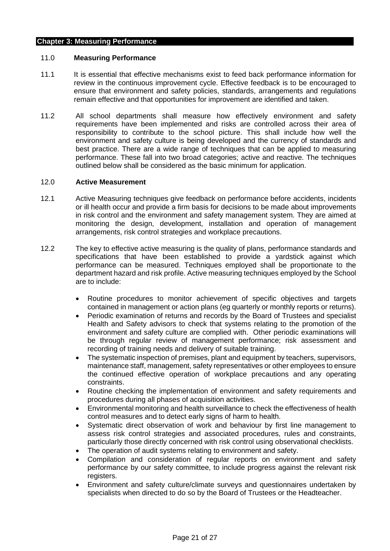#### **Chapter 3: Measuring Performance**

#### 11.0 **Measuring Performance**

- 11.1 It is essential that effective mechanisms exist to feed back performance information for review in the continuous improvement cycle. Effective feedback is to be encouraged to ensure that environment and safety policies, standards, arrangements and regulations remain effective and that opportunities for improvement are identified and taken.
- 11.2 All school departments shall measure how effectively environment and safety requirements have been implemented and risks are controlled across their area of responsibility to contribute to the school picture. This shall include how well the environment and safety culture is being developed and the currency of standards and best practice. There are a wide range of techniques that can be applied to measuring performance. These fall into two broad categories; active and reactive. The techniques outlined below shall be considered as the basic minimum for application.

#### 12.0 **Active Measurement**

- 12.1 Active Measuring techniques give feedback on performance before accidents, incidents or ill health occur and provide a firm basis for decisions to be made about improvements in risk control and the environment and safety management system. They are aimed at monitoring the design, development, installation and operation of management arrangements, risk control strategies and workplace precautions.
- 12.2 The key to effective active measuring is the quality of plans, performance standards and specifications that have been established to provide a yardstick against which performance can be measured. Techniques employed shall be proportionate to the department hazard and risk profile. Active measuring techniques employed by the School are to include:
	- Routine procedures to monitor achievement of specific objectives and targets contained in management or action plans (eg quarterly or monthly reports or returns).
	- Periodic examination of returns and records by the Board of Trustees and specialist Health and Safety advisors to check that systems relating to the promotion of the environment and safety culture are complied with. Other periodic examinations will be through regular review of management performance; risk assessment and recording of training needs and delivery of suitable training.
	- The systematic inspection of premises, plant and equipment by teachers, supervisors, maintenance staff, management, safety representatives or other employees to ensure the continued effective operation of workplace precautions and any operating constraints.
	- Routine checking the implementation of environment and safety requirements and procedures during all phases of acquisition activities.
	- Environmental monitoring and health surveillance to check the effectiveness of health control measures and to detect early signs of harm to health.
	- Systematic direct observation of work and behaviour by first line management to assess risk control strategies and associated procedures, rules and constraints, particularly those directly concerned with risk control using observational checklists.
	- The operation of audit systems relating to environment and safety.
	- Compilation and consideration of regular reports on environment and safety performance by our safety committee, to include progress against the relevant risk registers.
	- Environment and safety culture/climate surveys and questionnaires undertaken by specialists when directed to do so by the Board of Trustees or the Headteacher.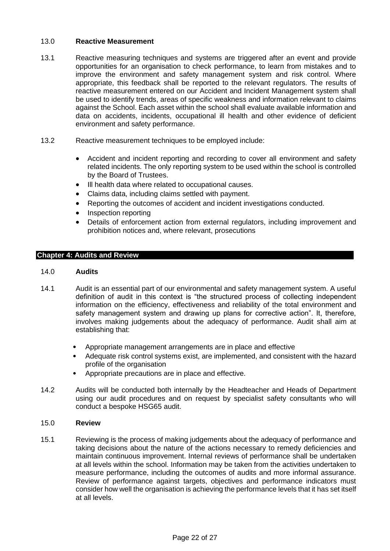#### 13.0 **Reactive Measurement**

- 13.1 Reactive measuring techniques and systems are triggered after an event and provide opportunities for an organisation to check performance, to learn from mistakes and to improve the environment and safety management system and risk control. Where appropriate, this feedback shall be reported to the relevant regulators. The results of reactive measurement entered on our Accident and Incident Management system shall be used to identify trends, areas of specific weakness and information relevant to claims against the School. Each asset within the school shall evaluate available information and data on accidents, incidents, occupational ill health and other evidence of deficient environment and safety performance.
- 13.2 Reactive measurement techniques to be employed include:
	- Accident and incident reporting and recording to cover all environment and safety related incidents. The only reporting system to be used within the school is controlled by the Board of Trustees.
	- Ill health data where related to occupational causes.
	- Claims data, including claims settled with payment.
	- Reporting the outcomes of accident and incident investigations conducted.
	- Inspection reporting
	- Details of enforcement action from external regulators, including improvement and prohibition notices and, where relevant, prosecutions

#### **Chapter 4: Audits and Review**

#### 14.0 **Audits**

- 14.1 Audit is an essential part of our environmental and safety management system. A useful definition of audit in this context is "the structured process of collecting independent information on the efficiency, effectiveness and reliability of the total environment and safety management system and drawing up plans for corrective action". It, therefore, involves making judgements about the adequacy of performance. Audit shall aim at establishing that:
	- Appropriate management arrangements are in place and effective
	- Adequate risk control systems exist, are implemented, and consistent with the hazard profile of the organisation
	- Appropriate precautions are in place and effective.
- 14.2 Audits will be conducted both internally by the Headteacher and Heads of Department using our audit procedures and on request by specialist safety consultants who will conduct a bespoke HSG65 audit.

#### 15.0 **Review**

15.1 Reviewing is the process of making judgements about the adequacy of performance and taking decisions about the nature of the actions necessary to remedy deficiencies and maintain continuous improvement. Internal reviews of performance shall be undertaken at all levels within the school. Information may be taken from the activities undertaken to measure performance, including the outcomes of audits and more informal assurance. Review of performance against targets, objectives and performance indicators must consider how well the organisation is achieving the performance levels that it has set itself at all levels.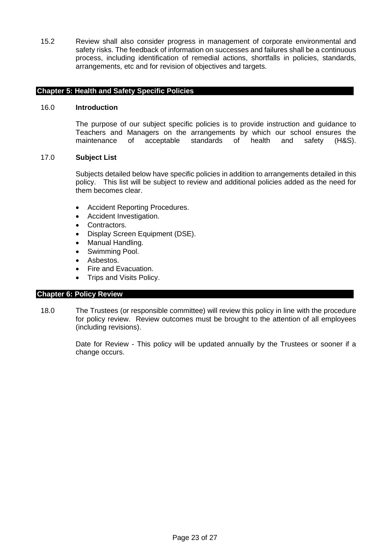15.2 Review shall also consider progress in management of corporate environmental and safety risks. The feedback of information on successes and failures shall be a continuous process, including identification of remedial actions, shortfalls in policies, standards, arrangements, etc and for revision of objectives and targets.

#### **Chapter 5: Health and Safety Specific Policies**

#### 16.0 **Introduction**

The purpose of our subject specific policies is to provide instruction and guidance to Teachers and Managers on the arrangements by which our school ensures the maintenance of acceptable standards of health and safety (H&S).

#### 17.0 **Subject List**

Subjects detailed below have specific policies in addition to arrangements detailed in this policy. This list will be subject to review and additional policies added as the need for them becomes clear.

- Accident Reporting Procedures.
- Accident Investigation.
- Contractors.
- Display Screen Equipment (DSE).
- Manual Handling.
- Swimming Pool.
- Asbestos.
- Fire and Evacuation.
- Trips and Visits Policy.

#### **Chapter 6: Policy Review**

18.0 The Trustees (or responsible committee) will review this policy in line with the procedure for policy review. Review outcomes must be brought to the attention of all employees (including revisions).

> Date for Review - This policy will be updated annually by the Trustees or sooner if a change occurs.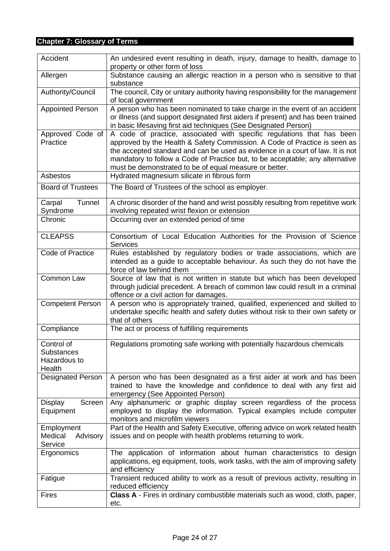## **Chapter 7: Glossary of Terms**

| Accident                                                  | An undesired event resulting in death, injury, damage to health, damage to<br>property or other form of loss                                                                                                                                                                                                                                                                     |  |  |  |  |
|-----------------------------------------------------------|----------------------------------------------------------------------------------------------------------------------------------------------------------------------------------------------------------------------------------------------------------------------------------------------------------------------------------------------------------------------------------|--|--|--|--|
| Allergen                                                  | Substance causing an allergic reaction in a person who is sensitive to that<br>substance                                                                                                                                                                                                                                                                                         |  |  |  |  |
| Authority/Council                                         | The council, City or unitary authority having responsibility for the management<br>of local government                                                                                                                                                                                                                                                                           |  |  |  |  |
| <b>Appointed Person</b>                                   | A person who has been nominated to take charge in the event of an accident<br>or illness (and support designated first aiders if present) and has been trained<br>in basic lifesaving first aid techniques (See Designated Person)                                                                                                                                               |  |  |  |  |
| Approved Code of<br>Practice                              | A code of practice, associated with specific regulations that has been<br>approved by the Health & Safety Commission. A Code of Practice is seen as<br>the accepted standard and can be used as evidence in a court of law. It is not<br>mandatory to follow a Code of Practice but, to be acceptable; any alternative<br>must be demonstrated to be of equal measure or better. |  |  |  |  |
| Asbestos                                                  | Hydrated magnesium silicate in fibrous form                                                                                                                                                                                                                                                                                                                                      |  |  |  |  |
| <b>Board of Trustees</b>                                  | The Board of Trustees of the school as employer.                                                                                                                                                                                                                                                                                                                                 |  |  |  |  |
| Carpal<br>Tunnel<br>Syndrome                              | A chronic disorder of the hand and wrist possibly resulting from repetitive work<br>involving repeated wrist flexion or extension                                                                                                                                                                                                                                                |  |  |  |  |
| Chronic                                                   | Occurring over an extended period of time                                                                                                                                                                                                                                                                                                                                        |  |  |  |  |
| <b>CLEAPSS</b>                                            | Consortium of Local Education Authorities for the Provision of Science<br><b>Services</b>                                                                                                                                                                                                                                                                                        |  |  |  |  |
| Code of Practice                                          | Rules established by regulatory bodies or trade associations, which are<br>intended as a guide to acceptable behaviour. As such they do not have the<br>force of law behind them                                                                                                                                                                                                 |  |  |  |  |
| Common Law                                                | Source of law that is not written in statute but which has been developed<br>through judicial precedent. A breach of common law could result in a criminal<br>offence or a civil action for damages.                                                                                                                                                                             |  |  |  |  |
| <b>Competent Person</b>                                   | A person who is appropriately trained, qualified, experienced and skilled to<br>undertake specific health and safety duties without risk to their own safety or<br>that of others                                                                                                                                                                                                |  |  |  |  |
| Compliance                                                | The act or process of fulfilling requirements                                                                                                                                                                                                                                                                                                                                    |  |  |  |  |
| Control of<br><b>Substances</b><br>Hazardous to<br>Health | Regulations promoting safe working with potentially hazardous chemicals                                                                                                                                                                                                                                                                                                          |  |  |  |  |
| Designated Person                                         | A person who has been designated as a first aider at work and has been<br>trained to have the knowledge and confidence to deal with any first aid<br>emergency (See Appointed Person)                                                                                                                                                                                            |  |  |  |  |
| Display<br>Screen<br>Equipment                            | Any alphanumeric or graphic display screen regardless of the process<br>employed to display the information. Typical examples include computer<br>monitors and microfilm viewers                                                                                                                                                                                                 |  |  |  |  |
| Employment<br>Medical<br>Advisory<br>Service              | Part of the Health and Safety Executive, offering advice on work related health<br>issues and on people with health problems returning to work.                                                                                                                                                                                                                                  |  |  |  |  |
| Ergonomics                                                | The application of information about human characteristics to design<br>applications, eg equipment, tools, work tasks, with the aim of improving safety<br>and efficiency                                                                                                                                                                                                        |  |  |  |  |
| Fatigue                                                   | Transient reduced ability to work as a result of previous activity, resulting in<br>reduced efficiency                                                                                                                                                                                                                                                                           |  |  |  |  |
| <b>Fires</b>                                              | Class A - Fires in ordinary combustible materials such as wood, cloth, paper,<br>etc.                                                                                                                                                                                                                                                                                            |  |  |  |  |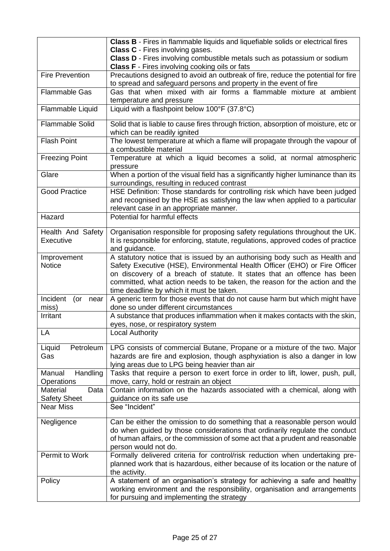|                                                | Class B - Fires in flammable liquids and liquefiable solids or electrical fires<br><b>Class C</b> - Fires involving gases.                                                                                                                                                                                                                                      |
|------------------------------------------------|-----------------------------------------------------------------------------------------------------------------------------------------------------------------------------------------------------------------------------------------------------------------------------------------------------------------------------------------------------------------|
|                                                | Class D - Fires involving combustible metals such as potassium or sodium<br><b>Class F</b> - Fires involving cooking oils or fats                                                                                                                                                                                                                               |
| <b>Fire Prevention</b>                         | Precautions designed to avoid an outbreak of fire, reduce the potential for fire<br>to spread and safeguard persons and property in the event of fire                                                                                                                                                                                                           |
| <b>Flammable Gas</b>                           | Gas that when mixed with air forms a flammable mixture at ambient<br>temperature and pressure                                                                                                                                                                                                                                                                   |
| Flammable Liquid                               | Liquid with a flashpoint below 100°F (37.8°C)                                                                                                                                                                                                                                                                                                                   |
| <b>Flammable Solid</b>                         | Solid that is liable to cause fires through friction, absorption of moisture, etc or<br>which can be readily ignited                                                                                                                                                                                                                                            |
| <b>Flash Point</b>                             | The lowest temperature at which a flame will propagate through the vapour of<br>a combustible material                                                                                                                                                                                                                                                          |
| <b>Freezing Point</b>                          | Temperature at which a liquid becomes a solid, at normal atmospheric<br>pressure                                                                                                                                                                                                                                                                                |
| Glare                                          | When a portion of the visual field has a significantly higher luminance than its<br>surroundings, resulting in reduced contrast                                                                                                                                                                                                                                 |
| <b>Good Practice</b>                           | HSE Definition: Those standards for controlling risk which have been judged<br>and recognised by the HSE as satisfying the law when applied to a particular<br>relevant case in an appropriate manner.                                                                                                                                                          |
| Hazard                                         | Potential for harmful effects                                                                                                                                                                                                                                                                                                                                   |
| Health And Safety<br>Executive                 | Organisation responsible for proposing safety regulations throughout the UK.<br>It is responsible for enforcing, statute, regulations, approved codes of practice<br>and guidance.                                                                                                                                                                              |
| Improvement<br><b>Notice</b>                   | A statutory notice that is issued by an authorising body such as Health and<br>Safety Executive (HSE), Environmental Health Officer (EHO) or Fire Officer<br>on discovery of a breach of statute. It states that an offence has been<br>committed, what action needs to be taken, the reason for the action and the<br>time deadline by which it must be taken. |
| Incident<br>(or<br>near<br>miss)               | A generic term for those events that do not cause harm but which might have<br>done so under different circumstances                                                                                                                                                                                                                                            |
| Irritant                                       | A substance that produces inflammation when it makes contacts with the skin,<br>eyes, nose, or respiratory system                                                                                                                                                                                                                                               |
| LA                                             | <b>Local Authority</b>                                                                                                                                                                                                                                                                                                                                          |
| Petroleum<br>Liquid<br>Gas                     | LPG consists of commercial Butane, Propane or a mixture of the two. Major<br>hazards are fire and explosion, though asphyxiation is also a danger in low<br>lying areas due to LPG being heavier than air                                                                                                                                                       |
| Handling<br>Manual<br>Operations               | Tasks that require a person to exert force in order to lift, lower, push, pull,<br>move, carry, hold or restrain an object                                                                                                                                                                                                                                      |
| <b>Material</b><br>Data<br><b>Safety Sheet</b> | Contain information on the hazards associated with a chemical, along with<br>guidance on its safe use                                                                                                                                                                                                                                                           |
| <b>Near Miss</b>                               | See "Incident"                                                                                                                                                                                                                                                                                                                                                  |
| Negligence                                     | Can be either the omission to do something that a reasonable person would<br>do when guided by those considerations that ordinarily regulate the conduct<br>of human affairs, or the commission of some act that a prudent and reasonable<br>person would not do.                                                                                               |
| Permit to Work                                 | Formally delivered criteria for control/risk reduction when undertaking pre-<br>planned work that is hazardous, either because of its location or the nature of<br>the activity.                                                                                                                                                                                |
| Policy                                         | A statement of an organisation's strategy for achieving a safe and healthy<br>working environment and the responsibility, organisation and arrangements<br>for pursuing and implementing the strategy                                                                                                                                                           |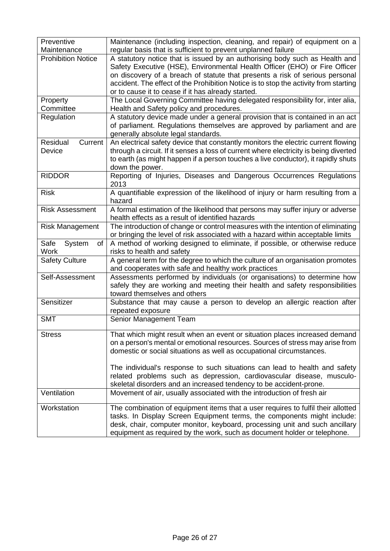| Preventive                          | Maintenance (including inspection, cleaning, and repair) of equipment on a                                                                                                                                                                                                                                                                                                              |
|-------------------------------------|-----------------------------------------------------------------------------------------------------------------------------------------------------------------------------------------------------------------------------------------------------------------------------------------------------------------------------------------------------------------------------------------|
| Maintenance                         | regular basis that is sufficient to prevent unplanned failure                                                                                                                                                                                                                                                                                                                           |
| <b>Prohibition Notice</b>           | A statutory notice that is issued by an authorising body such as Health and<br>Safety Executive (HSE), Environmental Health Officer (EHO) or Fire Officer<br>on discovery of a breach of statute that presents a risk of serious personal<br>accident. The effect of the Prohibition Notice is to stop the activity from starting<br>or to cause it to cease if it has already started. |
| Property                            | The Local Governing Committee having delegated responsibility for, inter alia,                                                                                                                                                                                                                                                                                                          |
| Committee                           | Health and Safety policy and procedures.                                                                                                                                                                                                                                                                                                                                                |
| Regulation                          | A statutory device made under a general provision that is contained in an act<br>of parliament. Regulations themselves are approved by parliament and are<br>generally absolute legal standards.                                                                                                                                                                                        |
| Residual<br>Current                 | An electrical safety device that constantly monitors the electric current flowing                                                                                                                                                                                                                                                                                                       |
| Device                              | through a circuit. If it senses a loss of current where electricity is being diverted<br>to earth (as might happen if a person touches a live conductor), it rapidly shuts<br>down the power.                                                                                                                                                                                           |
| <b>RIDDOR</b>                       | Reporting of Injuries, Diseases and Dangerous Occurrences Regulations<br>2013                                                                                                                                                                                                                                                                                                           |
| <b>Risk</b>                         | A quantifiable expression of the likelihood of injury or harm resulting from a<br>hazard                                                                                                                                                                                                                                                                                                |
| <b>Risk Assessment</b>              | A formal estimation of the likelihood that persons may suffer injury or adverse<br>health effects as a result of identified hazards                                                                                                                                                                                                                                                     |
| <b>Risk Management</b>              | The introduction of change or control measures with the intention of eliminating                                                                                                                                                                                                                                                                                                        |
|                                     | or bringing the level of risk associated with a hazard within acceptable limits                                                                                                                                                                                                                                                                                                         |
| Safe<br>System<br>of<br><b>Work</b> | A method of working designed to eliminate, if possible, or otherwise reduce<br>risks to health and safety                                                                                                                                                                                                                                                                               |
| <b>Safety Culture</b>               | A general term for the degree to which the culture of an organisation promotes<br>and cooperates with safe and healthy work practices                                                                                                                                                                                                                                                   |
| Self-Assessment                     | Assessments performed by individuals (or organisations) to determine how<br>safely they are working and meeting their health and safety responsibilities<br>toward themselves and others                                                                                                                                                                                                |
| Sensitizer                          | Substance that may cause a person to develop an allergic reaction after<br>repeated exposure                                                                                                                                                                                                                                                                                            |
| <b>SMT</b>                          | Senior Management Team                                                                                                                                                                                                                                                                                                                                                                  |
| <b>Stress</b>                       | That which might result when an event or situation places increased demand<br>on a person's mental or emotional resources. Sources of stress may arise from<br>domestic or social situations as well as occupational circumstances.                                                                                                                                                     |
|                                     | The individual's response to such situations can lead to health and safety<br>related problems such as depression, cardiovascular disease, musculo-<br>skeletal disorders and an increased tendency to be accident-prone.                                                                                                                                                               |
| Ventilation                         | Movement of air, usually associated with the introduction of fresh air                                                                                                                                                                                                                                                                                                                  |
| Workstation                         | The combination of equipment items that a user requires to fulfil their allotted<br>tasks. In Display Screen Equipment terms, the components might include:<br>desk, chair, computer monitor, keyboard, processing unit and such ancillary<br>equipment as required by the work, such as document holder or telephone.                                                                  |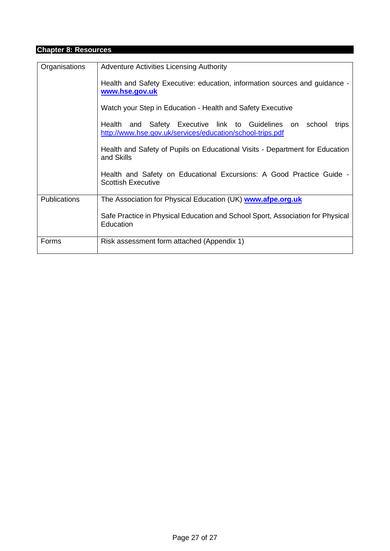## **Chapter 8: Resources**

| Organisations       | <b>Adventure Activities Licensing Authority</b><br>Health and Safety Executive: education, information sources and guidance -<br>www.hse.gov.uk |  |  |  |  |  |
|---------------------|-------------------------------------------------------------------------------------------------------------------------------------------------|--|--|--|--|--|
|                     | Watch your Step in Education - Health and Safety Executive                                                                                      |  |  |  |  |  |
|                     | Health and Safety Executive link to Guidelines<br>school<br>on<br>trips<br>http://www.hse.gov.uk/services/education/school-trips.pdf            |  |  |  |  |  |
|                     | Health and Safety of Pupils on Educational Visits - Department for Education<br>and Skills                                                      |  |  |  |  |  |
|                     | Health and Safety on Educational Excursions: A Good Practice Guide -<br><b>Scottish Executive</b>                                               |  |  |  |  |  |
| <b>Publications</b> | The Association for Physical Education (UK) www.afpe.org.uk                                                                                     |  |  |  |  |  |
|                     | Safe Practice in Physical Education and School Sport, Association for Physical<br>Education                                                     |  |  |  |  |  |
| Forms               | Risk assessment form attached (Appendix 1)                                                                                                      |  |  |  |  |  |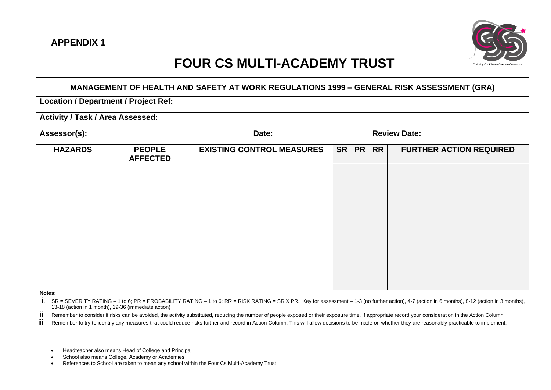

## **FOUR CS MULTI-ACADEMY TRUST**

| MANAGEMENT OF HEALTH AND SAFETY AT WORK REGULATIONS 1999 - GENERAL RISK ASSESSMENT (GRA) |                                  |  |                                  |           |           |           |                                |  |
|------------------------------------------------------------------------------------------|----------------------------------|--|----------------------------------|-----------|-----------|-----------|--------------------------------|--|
| <b>Location / Department / Project Ref:</b>                                              |                                  |  |                                  |           |           |           |                                |  |
| <b>Activity / Task / Area Assessed:</b>                                                  |                                  |  |                                  |           |           |           |                                |  |
| Assessor(s):                                                                             |                                  |  | Date:                            |           |           |           | <b>Review Date:</b>            |  |
| <b>HAZARDS</b>                                                                           | <b>PEOPLE</b><br><b>AFFECTED</b> |  | <b>EXISTING CONTROL MEASURES</b> | <b>SR</b> | <b>PR</b> | <b>RR</b> | <b>FURTHER ACTION REQUIRED</b> |  |
|                                                                                          |                                  |  |                                  |           |           |           |                                |  |
|                                                                                          |                                  |  |                                  |           |           |           |                                |  |
|                                                                                          |                                  |  |                                  |           |           |           |                                |  |
|                                                                                          |                                  |  |                                  |           |           |           |                                |  |
|                                                                                          |                                  |  |                                  |           |           |           |                                |  |
|                                                                                          |                                  |  |                                  |           |           |           |                                |  |
|                                                                                          |                                  |  |                                  |           |           |           |                                |  |
| Notes:                                                                                   |                                  |  |                                  |           |           |           |                                |  |

**Notes:**

i. SR = SEVERITY RATING – 1 to 6; PR = PROBABILITY RATING – 1 to 6; RR = RISK RATING = SR X PR. Key for assessment – 1-3 (no further action), 4-7 (action in 6 months), 8-12 (action in 3 months), 13-18 (action in 1 month), 19-36 (immediate action)

ii. Remember to consider if risks can be avoided, the activity substituted, reducing the number of people exposed or their exposure time. If appropriate record your consideration in the Action Column.

iii. Remember to try to identify any measures that could reduce risks further and record in Action Column. This will allow decisions to be made on whether they are reasonably practicable to implement.

• Headteacher also means Head of College and Principal

School also means College, Academy or Academies

• References to School are taken to mean any school within the Four Cs Multi-Academy Trust